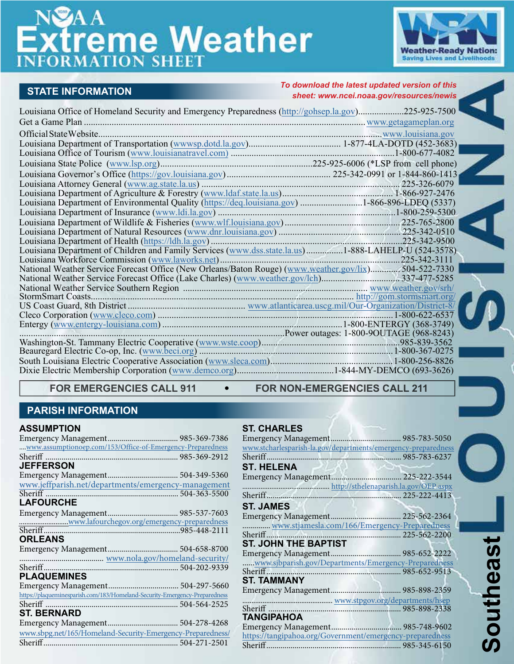# **freme Weather**



 $\frac{1}{2}$ 

# **STATE INFORMATION**

*To download the latest updated version of this sheet: www.ncei.noaa.gov/resources/newis*

| Louisiana Office of Homeland Security and Emergency Preparedness (http://gohsep.la.gov)225-925-7500  |  |
|------------------------------------------------------------------------------------------------------|--|
|                                                                                                      |  |
|                                                                                                      |  |
|                                                                                                      |  |
|                                                                                                      |  |
|                                                                                                      |  |
|                                                                                                      |  |
|                                                                                                      |  |
|                                                                                                      |  |
|                                                                                                      |  |
|                                                                                                      |  |
|                                                                                                      |  |
|                                                                                                      |  |
|                                                                                                      |  |
|                                                                                                      |  |
|                                                                                                      |  |
| National Weather Service Forecast Office (New Orleans/Baton Rouge) (www.weather.gov/lix)504-522-7330 |  |
|                                                                                                      |  |
|                                                                                                      |  |
|                                                                                                      |  |
|                                                                                                      |  |
|                                                                                                      |  |
|                                                                                                      |  |
|                                                                                                      |  |
|                                                                                                      |  |
|                                                                                                      |  |
|                                                                                                      |  |
|                                                                                                      |  |

FOR EMERGENCIES CALL 911 FOR NON-EMERGENCIES CALL 211

# **PARISH INFORMATION**

#### **ASSUMPTION**

| www.assumptionoep.com/153/Office-of-Emergency-Preparedness                 |  |
|----------------------------------------------------------------------------|--|
| Sheriff.                                                                   |  |
| <b>JEFFERSON</b>                                                           |  |
|                                                                            |  |
| www.jeffparish.net/departments/emergency-management                        |  |
|                                                                            |  |
| <b>LAFOURCHE</b>                                                           |  |
|                                                                            |  |
|                                                                            |  |
| www.lafourchegov.org/emergency-preparedness                                |  |
| <b>ORLEANS</b>                                                             |  |
|                                                                            |  |
|                                                                            |  |
|                                                                            |  |
| <b>PLAQUEMINES</b>                                                         |  |
|                                                                            |  |
| https://plaqueminesparish.com/183/Homeland-Security-Emergency-Preparedness |  |
|                                                                            |  |
| <b>ST. BERNARD</b>                                                         |  |
|                                                                            |  |
| www.sbpg.net/165/Homeland-Security-Emergency-Preparedness/                 |  |
|                                                                            |  |

#### **ST. CHARLES**

| www.stcharlesparish-la.gov/departments/emergency-preparedness |  |
|---------------------------------------------------------------|--|
|                                                               |  |
| <b>ST. HELENA</b>                                             |  |
|                                                               |  |
|                                                               |  |
|                                                               |  |
| <b>ST. JAMES</b>                                              |  |
|                                                               |  |
| www.stjamesla.com/166/Emergency-Preparedness                  |  |
|                                                               |  |
| <b>ST. JOHN THE BAPTIST</b>                                   |  |
|                                                               |  |
| www.sjbparish.gov/Departments/Emergency-Preparedness          |  |
|                                                               |  |
| <b>ST. TAMMANY</b>                                            |  |
|                                                               |  |
|                                                               |  |
|                                                               |  |
| TANGIPAHOA                                                    |  |
|                                                               |  |
| https://tangipahoa.org/Government/emergency-preparedness      |  |
|                                                               |  |